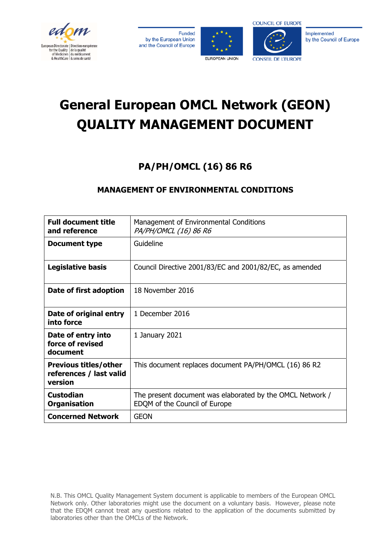

Funded by the European Union and the Council of Europe





Implemented by the Council of Europe

# **General European OMCL Network (GEON) QUALITY MANAGEMENT DOCUMENT**

## **PA/PH/OMCL (16) 86 R6**

### **MANAGEMENT OF ENVIRONMENTAL CONDITIONS**

| <b>Full document title</b><br>and reference                        | Management of Environmental Conditions<br>PA/PH/OMCL (16) 86 R6                            |  |
|--------------------------------------------------------------------|--------------------------------------------------------------------------------------------|--|
| <b>Document type</b>                                               | Guideline                                                                                  |  |
| Legislative basis                                                  | Council Directive 2001/83/EC and 2001/82/EC, as amended                                    |  |
| Date of first adoption                                             | 18 November 2016                                                                           |  |
| Date of original entry<br>into force                               | 1 December 2016                                                                            |  |
| Date of entry into<br>force of revised<br>document                 | 1 January 2021                                                                             |  |
| <b>Previous titles/other</b><br>references / last valid<br>version | This document replaces document PA/PH/OMCL (16) 86 R2                                      |  |
| <b>Custodian</b><br><b>Organisation</b>                            | The present document was elaborated by the OMCL Network /<br>EDQM of the Council of Europe |  |
| <b>Concerned Network</b>                                           | <b>GEON</b>                                                                                |  |

N.B. This OMCL Quality Management System document is applicable to members of the European OMCL Network only. Other laboratories might use the document on a voluntary basis. However, please note that the EDQM cannot treat any questions related to the application of the documents submitted by laboratories other than the OMCLs of the Network.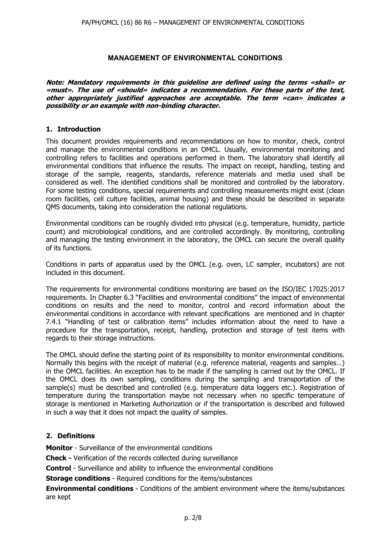#### **MANAGEMENT OF ENVIRONMENTAL CONDITIONS**

**Note: Mandatory requirements in this guideline are defined using the terms «shall» or «must». The use of «should» indicates a recommendation. For these parts of the text, other appropriately justified approaches are acceptable. The term «can» indicates a possibility or an example with non-binding character.** 

#### **1. Introduction**

This document provides requirements and recommendations on how to monitor, check, control and manage the environmental conditions in an OMCL. Usually, environmental monitoring and controlling refers to facilities and operations performed in them. The laboratory shall identify all environmental conditions that influence the results. The impact on receipt, handling, testing and storage of the sample, reagents, standards, reference materials and media used shall be considered as well. The identified conditions shall be monitored and controlled by the laboratory. For some testing conditions, special requirements and controlling measurements might exist (clean room facilities, cell culture facilities, animal housing) and these should be described in separate QMS documents, taking into consideration the national regulations.

Environmental conditions can be roughly divided into physical (e.g. temperature, humidity, particle count) and microbiological conditions, and are controlled accordingly. By monitoring, controlling and managing the testing environment in the laboratory, the OMCL can secure the overall quality of its functions.

Conditions in parts of apparatus used by the OMCL (e.g. oven, LC sampler, incubators) are not included in this document.

The requirements for environmental conditions monitoring are based on the ISO/IEC 17025:2017 requirements. In Chapter 6.3 "Facilities and environmental conditions" the impact of environmental conditions on results and the need to monitor, control and record information about the environmental conditions in accordance with relevant specifications are mentioned and in chapter 7.4.1 "Handling of test or calibration items" includes information about the need to have a procedure for the transportation, receipt, handling, protection and storage of test items with regards to their storage instructions.

The OMCL should define the starting point of its responsibility to monitor environmental conditions. Normally this begins with the receipt of material (e.g. reference material, reagents and samples…) in the OMCL facilities. An exception has to be made if the sampling is carried out by the OMCL. If the OMCL does its own sampling, conditions during the sampling and transportation of the sample(s) must be described and controlled (e.g. temperature data loggers etc.). Registration of temperature during the transportation maybe not necessary when no specific temperature of storage is mentioned in Marketing Authorization or if the transportation is described and followed in such a way that it does not impact the quality of samples.

#### **2. Definitions**

**Monitor** - Surveillance of the environmental conditions

**Check -** Verification of the records collected during surveillance

**Control** - Surveillance and ability to influence the environmental conditions

**Storage conditions** - Required conditions for the items/substances

**Environmental conditions** - Conditions of the ambient environment where the items/substances are kept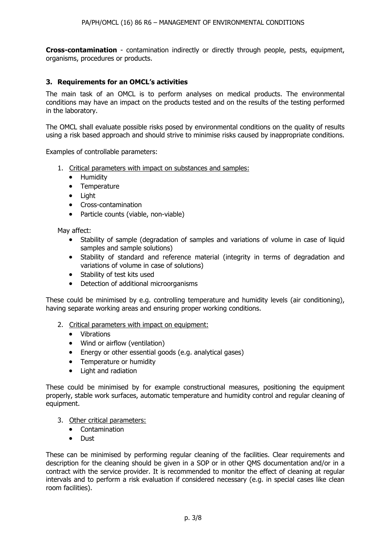**Cross-contamination** - contamination indirectly or directly through people, pests, equipment, organisms, procedures or products.

#### **3. Requirements for an OMCL's activities**

The main task of an OMCL is to perform analyses on medical products. The environmental conditions may have an impact on the products tested and on the results of the testing performed in the laboratory.

The OMCL shall evaluate possible risks posed by environmental conditions on the quality of results using a risk based approach and should strive to minimise risks caused by inappropriate conditions.

Examples of controllable parameters:

- 1. Critical parameters with impact on substances and samples:
	- Humidity
	- Temperature
	- Light
	- Cross-contamination
	- Particle counts (viable, non-viable)

May affect:

- Stability of sample (degradation of samples and variations of volume in case of liquid samples and sample solutions)
- Stability of standard and reference material (integrity in terms of degradation and variations of volume in case of solutions)
- Stability of test kits used
- Detection of additional microorganisms

These could be minimised by e.g. controlling temperature and humidity levels (air conditioning), having separate working areas and ensuring proper working conditions.

- 2. Critical parameters with impact on equipment:
	- Vibrations
	- Wind or airflow (ventilation)
	- Energy or other essential goods (e.g. analytical gases)
	- Temperature or humidity
	- Light and radiation

These could be minimised by for example constructional measures, positioning the equipment properly, stable work surfaces, automatic temperature and humidity control and regular cleaning of equipment.

- 3. Other critical parameters:
	- Contamination
	- Dust

These can be minimised by performing regular cleaning of the facilities. Clear requirements and description for the cleaning should be given in a SOP or in other QMS documentation and/or in a contract with the service provider. It is recommended to monitor the effect of cleaning at regular intervals and to perform a risk evaluation if considered necessary (e.g. in special cases like clean room facilities).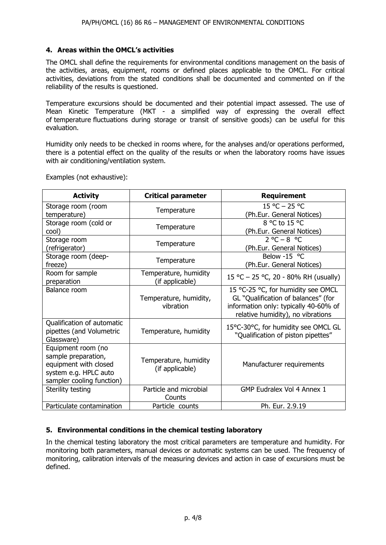#### **4. Areas within the OMCL's activities**

The OMCL shall define the requirements for environmental conditions management on the basis of the activities, areas, equipment, rooms or defined places applicable to the OMCL. For critical activities, deviations from the stated conditions shall be documented and commented on if the reliability of the results is questioned.

Temperature excursions should be documented and their potential impact assessed. The use of Mean Kinetic Temperature (MKT - a simplified way of expressing the overall effect of temperature fluctuations during storage or transit of sensitive goods) can be useful for this evaluation.

Humidity only needs to be checked in rooms where, for the analyses and/or operations performed, there is a potential effect on the quality of the results or when the laboratory rooms have issues with air conditioning/ventilation system.

| <b>Activity</b>                                                                                                          | <b>Critical parameter</b>                | <b>Requirement</b>                                                                                                                                      |
|--------------------------------------------------------------------------------------------------------------------------|------------------------------------------|---------------------------------------------------------------------------------------------------------------------------------------------------------|
| Storage room (room<br>temperature)                                                                                       | Temperature                              | $15 °C - 25 °C$<br>(Ph.Eur. General Notices)                                                                                                            |
| Storage room (cold or<br>cool)                                                                                           | Temperature                              | 8 °C to 15 °C<br>(Ph.Eur. General Notices)                                                                                                              |
| Storage room<br>(refrigerator)                                                                                           | Temperature                              | $2^{\circ}C - 8^{\circ}C$<br>(Ph.Eur. General Notices)                                                                                                  |
| Storage room (deep-<br>freeze)                                                                                           | Temperature                              | Below -15 °C<br>(Ph.Eur. General Notices)                                                                                                               |
| Room for sample<br>preparation                                                                                           | Temperature, humidity<br>(if applicable) | 15 °C - 25 °C, 20 - 80% RH (usually)                                                                                                                    |
| Balance room                                                                                                             | Temperature, humidity,<br>vibration      | 15 °C-25 °C, for humidity see OMCL<br>GL "Qualification of balances" (for<br>information only: typically 40-60% of<br>relative humidity), no vibrations |
| Qualification of automatic<br>pipettes (and Volumetric<br>Glassware)                                                     | Temperature, humidity                    | 15°C-30°C, for humidity see OMCL GL<br>"Qualification of piston pipettes"                                                                               |
| Equipment room (no<br>sample preparation,<br>equipment with closed<br>system e.g. HPLC auto<br>sampler cooling function) | Temperature, humidity<br>(if applicable) | Manufacturer requirements                                                                                                                               |
| Sterility testing                                                                                                        | Particle and microbial<br>Counts         | GMP Eudralex Vol 4 Annex 1                                                                                                                              |
| Particulate contamination                                                                                                | Particle counts                          | Ph. Eur. 2.9.19                                                                                                                                         |

Examples (not exhaustive):

#### **5. Environmental conditions in the chemical testing laboratory**

In the chemical testing laboratory the most critical parameters are temperature and humidity. For monitoring both parameters, manual devices or automatic systems can be used. The frequency of monitoring, calibration intervals of the measuring devices and action in case of excursions must be defined.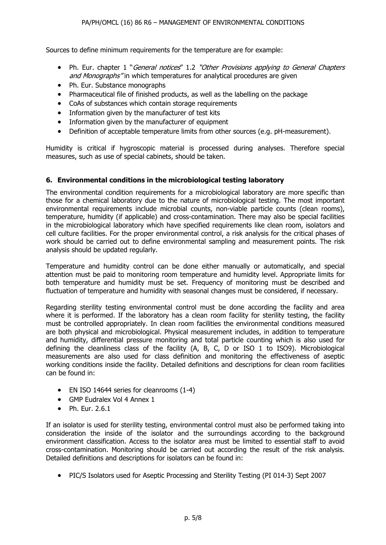Sources to define minimum requirements for the temperature are for example:

- Ph. Eur. chapter 1 "General notices" 1.2 "Other Provisions applying to General Chapters and Monographs" in which temperatures for analytical procedures are given
- Ph. Eur. Substance monographs
- Pharmaceutical file of finished products, as well as the labelling on the package
- CoAs of substances which contain storage requirements
- Information given by the manufacturer of test kits
- Information given by the manufacturer of equipment
- Definition of acceptable temperature limits from other sources (e.g. pH-measurement).

Humidity is critical if hygroscopic material is processed during analyses. Therefore special measures, such as use of special cabinets, should be taken.

#### **6. Environmental conditions in the microbiological testing laboratory**

The environmental condition requirements for a microbiological laboratory are more specific than those for a chemical laboratory due to the nature of microbiological testing. The most important environmental requirements include microbial counts, non-viable particle counts (clean rooms), temperature, humidity (if applicable) and cross-contamination. There may also be special facilities in the microbiological laboratory which have specified requirements like clean room, isolators and cell culture facilities. For the proper environmental control, a risk analysis for the critical phases of work should be carried out to define environmental sampling and measurement points. The risk analysis should be updated regularly.

Temperature and humidity control can be done either manually or automatically, and special attention must be paid to monitoring room temperature and humidity level. Appropriate limits for both temperature and humidity must be set. Frequency of monitoring must be described and fluctuation of temperature and humidity with seasonal changes must be considered, if necessary.

Regarding sterility testing environmental control must be done according the facility and area where it is performed. If the laboratory has a clean room facility for sterility testing, the facility must be controlled appropriately. In clean room facilities the environmental conditions measured are both physical and microbiological. Physical measurement includes, in addition to temperature and humidity, differential pressure monitoring and total particle counting which is also used for defining the cleanliness class of the facility (A, B, C, D or ISO 1 to ISO9). Microbiological measurements are also used for class definition and monitoring the effectiveness of aseptic working conditions inside the facility. Detailed definitions and descriptions for clean room facilities can be found in:

- EN ISO 14644 series for cleanrooms (1-4)
- GMP Eudralex Vol 4 Annex 1
- $\bullet$  Ph. Fur. 2.6.1

If an isolator is used for sterility testing, environmental control must also be performed taking into consideration the inside of the isolator and the surroundings according to the background environment classification. Access to the isolator area must be limited to essential staff to avoid cross-contamination. Monitoring should be carried out according the result of the risk analysis. Detailed definitions and descriptions for isolators can be found in:

• PIC/S Isolators used for Aseptic Processing and Sterility Testing (PI 014-3) Sept 2007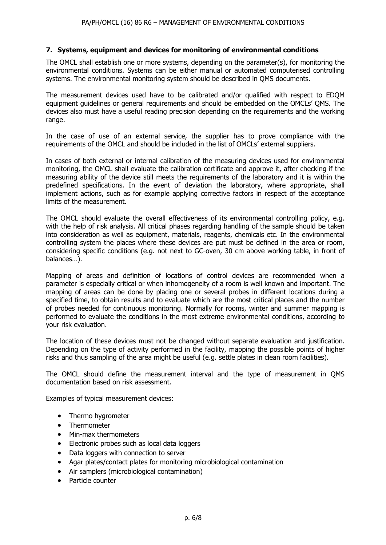#### **7. Systems, equipment and devices for monitoring of environmental conditions**

The OMCL shall establish one or more systems, depending on the parameter(s), for monitoring the environmental conditions. Systems can be either manual or automated computerised controlling systems. The environmental monitoring system should be described in QMS documents.

The measurement devices used have to be calibrated and/or qualified with respect to EDQM equipment guidelines or general requirements and should be embedded on the OMCLs' QMS. The devices also must have a useful reading precision depending on the requirements and the working range.

In the case of use of an external service, the supplier has to prove compliance with the requirements of the OMCL and should be included in the list of OMCLs' external suppliers.

In cases of both external or internal calibration of the measuring devices used for environmental monitoring, the OMCL shall evaluate the calibration certificate and approve it, after checking if the measuring ability of the device still meets the requirements of the laboratory and it is within the predefined specifications. In the event of deviation the laboratory, where appropriate, shall implement actions, such as for example applying corrective factors in respect of the acceptance limits of the measurement.

The OMCL should evaluate the overall effectiveness of its environmental controlling policy, e.g. with the help of risk analysis. All critical phases regarding handling of the sample should be taken into consideration as well as equipment, materials, reagents, chemicals etc. In the environmental controlling system the places where these devices are put must be defined in the area or room, considering specific conditions (e.g. not next to GC-oven, 30 cm above working table, in front of balances…).

Mapping of areas and definition of locations of control devices are recommended when a parameter is especially critical or when inhomogeneity of a room is well known and important. The mapping of areas can be done by placing one or several probes in different locations during a specified time, to obtain results and to evaluate which are the most critical places and the number of probes needed for continuous monitoring. Normally for rooms, winter and summer mapping is performed to evaluate the conditions in the most extreme environmental conditions, according to your risk evaluation.

The location of these devices must not be changed without separate evaluation and justification. Depending on the type of activity performed in the facility, mapping the possible points of higher risks and thus sampling of the area might be useful (e.g. settle plates in clean room facilities).

The OMCL should define the measurement interval and the type of measurement in QMS documentation based on risk assessment.

Examples of typical measurement devices:

- Thermo hygrometer
- Thermometer
- Min-max thermometers
- Electronic probes such as local data loggers
- Data loggers with connection to server
- Agar plates/contact plates for monitoring microbiological contamination
- Air samplers (microbiological contamination)
- Particle counter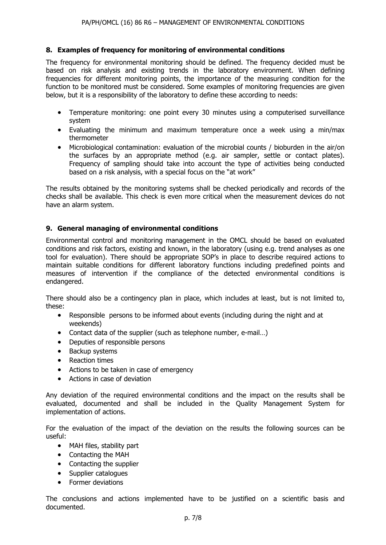#### **8. Examples of frequency for monitoring of environmental conditions**

The frequency for environmental monitoring should be defined. The frequency decided must be based on risk analysis and existing trends in the laboratory environment. When defining frequencies for different monitoring points, the importance of the measuring condition for the function to be monitored must be considered. Some examples of monitoring frequencies are given below, but it is a responsibility of the laboratory to define these according to needs:

- Temperature monitoring: one point every 30 minutes using a computerised surveillance system
- Evaluating the minimum and maximum temperature once a week using a min/max thermometer
- Microbiological contamination: evaluation of the microbial counts / bioburden in the air/on the surfaces by an appropriate method (e.g. air sampler, settle or contact plates). Frequency of sampling should take into account the type of activities being conducted based on a risk analysis, with a special focus on the "at work"

The results obtained by the monitoring systems shall be checked periodically and records of the checks shall be available. This check is even more critical when the measurement devices do not have an alarm system.

#### **9. General managing of environmental conditions**

Environmental control and monitoring management in the OMCL should be based on evaluated conditions and risk factors, existing and known, in the laboratory (using e.g. trend analyses as one tool for evaluation). There should be appropriate SOP's in place to describe required actions to maintain suitable conditions for different laboratory functions including predefined points and measures of intervention if the compliance of the detected environmental conditions is endangered.

There should also be a contingency plan in place, which includes at least, but is not limited to, these:

- Responsible persons to be informed about events (including during the night and at weekends)
- Contact data of the supplier (such as telephone number, e-mail...)
- Deputies of responsible persons
- Backup systems
- Reaction times
- Actions to be taken in case of emergency
- Actions in case of deviation

Any deviation of the required environmental conditions and the impact on the results shall be evaluated, documented and shall be included in the Quality Management System for implementation of actions.

For the evaluation of the impact of the deviation on the results the following sources can be useful:

- MAH files, stability part
- Contacting the MAH
- Contacting the supplier
- Supplier catalogues
- Former deviations

The conclusions and actions implemented have to be justified on a scientific basis and documented.